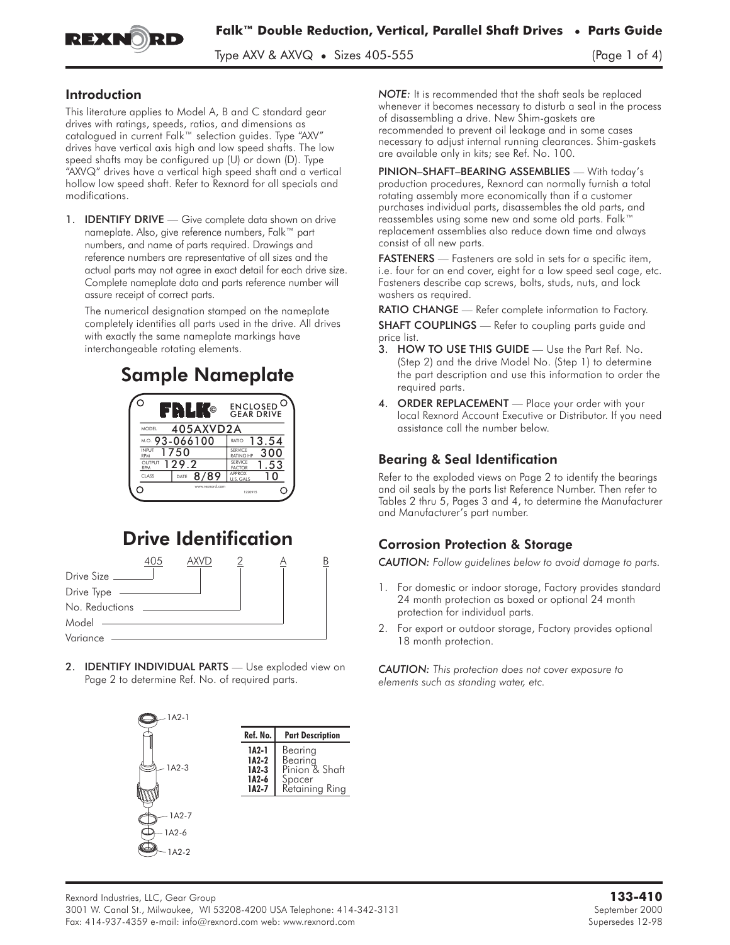

Type AXV & AXVQ • Sizes 405-555 (Page 1 of 4)

### Introduction

This literature applies to Model A, B and C standard gear drives with ratings, speeds, ratios, and dimensions as catalogued in current Falk™ selection guides. Type "AXV" drives have vertical axis high and low speed shafts. The low speed shafts may be configured up (U) or down (D). Type "AXVQ" drives have a vertical high speed shaft and a vertical hollow low speed shaft. Refer to Rexnord for all specials and modifications.

1. **IDENTIFY DRIVE** — Give complete data shown on drive nameplate. Also, give reference numbers, Falk™ part numbers, and name of parts required. Drawings and reference numbers are representative of all sizes and the actual parts may not agree in exact detail for each drive size. Complete nameplate data and parts reference number will assure receipt of correct parts.

The numerical designation stamped on the nameplate completely identifies all parts used in the drive. All drives with exactly the same nameplate markings have interchangeable rotating elements.

# Sample Nameplate



# Drive Identification



2. **IDENTIFY INDIVIDUAL PARTS** - Use exploded view on Page 2 to determine Ref. No. of required parts.



*NOTE:* It is recommended that the shaft seals be replaced whenever it becomes necessary to disturb a seal in the process of disassembling a drive. New Shim-gaskets are recommended to prevent oil leakage and in some cases necessary to adjust internal running clearances. Shim-gaskets are available only in kits; see Ref. No. 100.

PINION–SHAFT–BEARING ASSEMBLIES — With today's production procedures, Rexnord can normally furnish a total rotating assembly more economically than if a customer purchases individual parts, disassembles the old parts, and reassembles using some new and some old parts. Falk™ replacement assemblies also reduce down time and always consist of all new parts.

FASTENERS — Fasteners are sold in sets for a specific item, i.e. four for an end cover, eight for a low speed seal cage, etc. Fasteners describe cap screws, bolts, studs, nuts, and lock washers as required.

RATIO CHANGE - Refer complete information to Factory.

SHAFT COUPLINGS - Refer to coupling parts guide and price list.

- 3. HOW TO USE THIS GUIDE Use the Part Ref. No. (Step 2) and the drive Model No. (Step 1) to determine the part description and use this information to order the required parts.
- 4. ORDER REPLACEMENT Place your order with your local Rexnord Account Executive or Distributor. If you need assistance call the number below.

# Bearing & Seal Identification

Refer to the exploded views on Page 2 to identify the bearings and oil seals by the parts list Reference Number. Then refer to Tables 2 thru 5, Pages 3 and 4, to determine the Manufacturer and Manufacturer's part number.

# Corrosion Protection & Storage

*CAUTION: Follow guidelines below to avoid damage to parts.*

- 1. For domestic or indoor storage, Factory provides standard 24 month protection as boxed or optional 24 month protection for individual parts.
- 2. For export or outdoor storage, Factory provides optional 18 month protection.

*CAUTION: This protection does not cover exposure to elements such as standing water, etc.*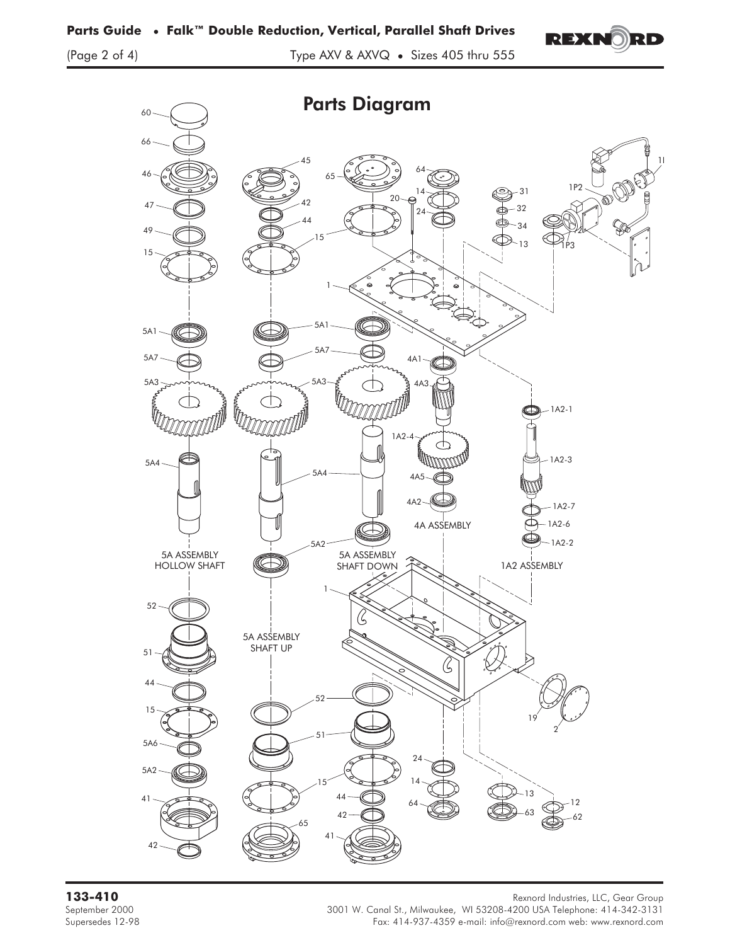



**133-410** Rexnord Industries, LLC, Gear Group September 2000 3001 W. Canal St., Milwaukee, WI 53208-4200 USA Telephone: 414-342-3131 Supersedes 12-98 Fax: 414-937-4359 e-mail: info@rexnord.com web: www.rexnord.com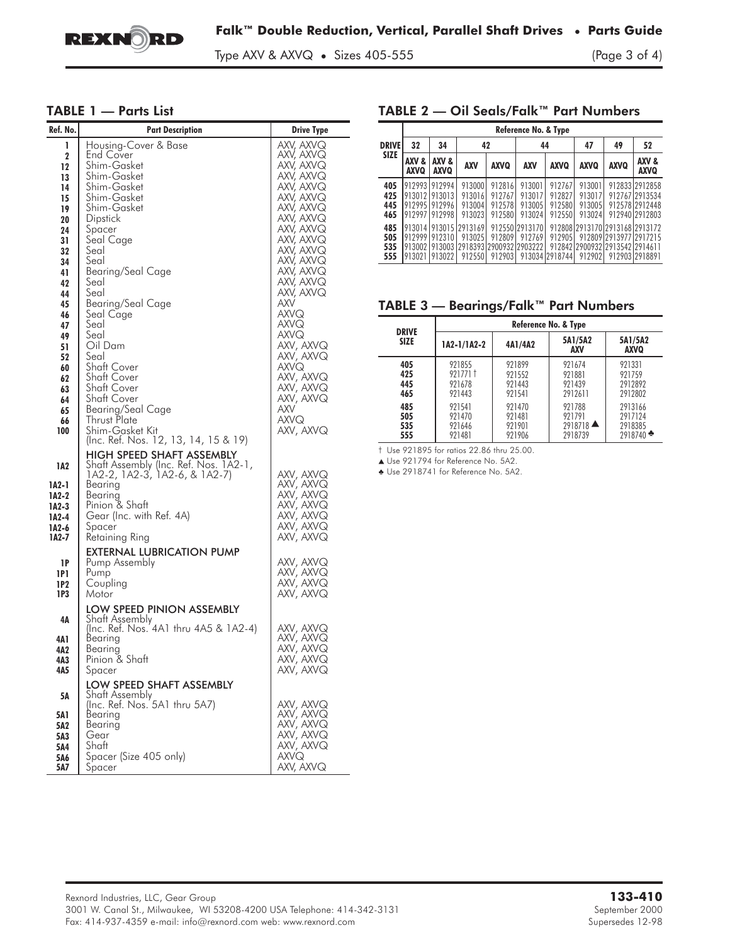

Type AXV & AXVQ • Sizes 405-555 (Page 3 of 4)

#### TABLE 1 — Parts List

| Ref. No.                                                                                                                                                                      | <b>Part Description</b>                                                                                                                                                                                                                                                                                                                                                                                            | <b>Drive Type</b>                                                                                                                                                                                                                                                                                                                   |
|-------------------------------------------------------------------------------------------------------------------------------------------------------------------------------|--------------------------------------------------------------------------------------------------------------------------------------------------------------------------------------------------------------------------------------------------------------------------------------------------------------------------------------------------------------------------------------------------------------------|-------------------------------------------------------------------------------------------------------------------------------------------------------------------------------------------------------------------------------------------------------------------------------------------------------------------------------------|
| 1<br>$\mathbf 2$<br>12<br>13<br>14<br>15<br>19<br>20<br>24<br>31<br>32<br>34<br>41<br>42<br>44<br>45<br>46<br>47<br>49<br>51<br>52<br>60<br>62<br>63<br>64<br>65<br>66<br>100 | Housing-Cover & Base<br>End Cover<br>Shim-Gasket<br>Shim-Gasket<br>Shim-Gasket<br>Shim-Gasket<br>Shim-Gasket<br>Dipstick<br>Spacer<br>Seal Cage<br>Seal<br>Seal<br>Bearing/Seal Cage<br>Seal<br>Seal<br>Bearing/Seal Cage<br>Seal Cage<br>Seal<br>Seal<br>Oil Dam<br>Seal<br><b>Shaft Cover</b><br><b>Shaft Cover</b><br>Shatt Cover<br>Shatt Cover<br><b>Bearing/Seal Cage</b><br>Thrust Plate<br>Shim-Gasket Kit | AXV, AXVQ<br>AXV, AXVQ<br>AXV, AXVQ<br>AXV, AXVQ<br>AXV, AXVQ<br>AXV, AXVQ<br>AXV, AXVQ<br>AXV, AXVQ<br>AXV, AXVQ<br>AXV, AXVQ<br>AXV, AXVQ<br>AXV, AXVQ<br>AXV, AXVQ<br>AXV, AXVQ<br>AXV, AXVQ<br>AXV<br>AXVQ<br>AXVQ<br>AXVQ<br>AXV, AXVQ<br>AXV, AXVQ<br>AXVQ<br>AXV, AXVQ<br>AXV, AXVQ<br>AXV, AXVQ<br>AXV<br>AXVQ<br>AXV, AXVQ |
| 1A2<br>1A2-1<br>1A2-2<br>1A2-3<br>1A2-4<br>1A2-6<br>1A2-7                                                                                                                     | (Inc. Ref. Nos. 12, 13, 14, 15 & 19)<br>HIGH SPEED SHAFT ASSEMBLY<br>Shaft Assembly (Inc. Ref. Nos. 1A2-1,<br>1A2-2, 1A2-3, 1A2-6, & 1A2-7)<br>Bearing<br>Bearing<br>Pinion & Shaft<br>Gear (Inc. with Ref. 4A)<br>Spacer<br>Retaining Ring                                                                                                                                                                        | AXV, AXVQ<br>AXV, AXVQ<br>AXV, AXVQ<br>AXV, AXVQ<br>AXV, AXVQ<br>AXV, AXVQ<br>AXV, AXVQ                                                                                                                                                                                                                                             |
| 16<br>1P1<br>1P2<br>1P3                                                                                                                                                       | EXTERNAL LUBRICATION PUMP<br>Pump Assembly<br>Pump<br>Coupling<br>Motor                                                                                                                                                                                                                                                                                                                                            | AXV, AXVQ<br>AXV, AXVQ<br>AXV, AXVQ<br>AXV, AXVQ                                                                                                                                                                                                                                                                                    |
| 4Α<br>4A 1<br>4A2<br>4A3<br>4A5                                                                                                                                               | LOW SPEED PINION ASSEMBLY<br>Shatt Assemblv<br>(Inc. Ref. Nos. 4A1 thru 4A5 & 1A2-4)<br>Bearing<br>Bearing<br>Pinion & Shaft<br>Spacer                                                                                                                                                                                                                                                                             | axv, axvq<br>axv, axvq<br>AXV, AXVQ<br>AXV, AXVQ<br>AXV, AXVQ                                                                                                                                                                                                                                                                       |
| 5А<br>5A 1<br>5A2<br>5A3<br>5A4<br>5A6<br>5A7                                                                                                                                 | LOW SPEED SHAFT ASSEMBLY<br>Shaft Assembly<br>(Inc. Ref. Nos. 5A1 thru 5A7)<br>Bearing<br>Bearina<br>Gear<br>Shaft<br>Spacer (Size 405 only)<br>Spacer                                                                                                                                                                                                                                                             | AXV, AXVQ<br>AXV, AXVQ<br>AXV, AXVQ<br>AXV, AXVQ<br>AXV, AXVQ<br><b>AXVQ</b><br>AXV, AXVQ                                                                                                                                                                                                                                           |

### TABLE 2 — Oil Seals/Falk™ Part Numbers

|                          | Reference No. & Type            |                                                           |                                                                                    |                                      |                                      |                                      |                                      |                                                                                             |                                                                      |
|--------------------------|---------------------------------|-----------------------------------------------------------|------------------------------------------------------------------------------------|--------------------------------------|--------------------------------------|--------------------------------------|--------------------------------------|---------------------------------------------------------------------------------------------|----------------------------------------------------------------------|
| <b>DRIVE</b>             | 32                              | 34                                                        | 42                                                                                 |                                      | 44                                   |                                      | 47                                   | 49                                                                                          | 52                                                                   |
| <b>SIZE</b>              | <b>AXV &amp;</b><br><b>AXVQ</b> | AXV &<br><b>AXVQ</b>                                      | <b>AXV</b>                                                                         | <b>AXVQ</b>                          | <b>AXV</b>                           | <b>AXVQ</b>                          | <b>AXVQ</b>                          | <b>AXVQ</b>                                                                                 | AXV &<br><b>AXVQ</b>                                                 |
| 405<br>425<br>445<br>465 | 912995                          | 912993 912994<br>913012 913013<br>912996<br>912997 912998 | 913000<br>913016<br>913004<br>913023                                               | 912816<br>912767<br>912578<br>912580 | 913001<br>913017<br>913005<br>913024 | 912767<br>912827<br>912580<br>912550 | 913001<br>913017<br>913005<br>913024 |                                                                                             | 912833 2912858<br>912767 2913534<br>912578 2912448<br>912940 2912803 |
| 485<br>505<br>535<br>555 | 912999 912310                   | 913021 913022                                             | 913014 913015 2913169<br>913025<br>913002 913003 2918393 2900932 2903222<br>912550 | 912809<br>912903                     | 912550 2913170<br>912769             | 912905<br>913034 2918744             | 912902                               | 912808 2913170 2913168 2913 172<br>9128091291397712917215<br>912842 2900932 2913542 2914611 | 912903 2918891                                                       |

## TABLE 3 — Bearings/Falk™ Part Numbers

| <b>DRIVE</b> | Reference No. & Type |         |                       |                       |  |  |  |
|--------------|----------------------|---------|-----------------------|-----------------------|--|--|--|
| <b>SIZE</b>  | 1A2-1/1A2-2          | 4A1/4A2 | 5A1/5A2<br>AXV        | 5A1/5A2<br>AXVQ       |  |  |  |
| 405          | 921855               | 921899  | 921674                | 921331                |  |  |  |
| 425          | 9217711              | 921552  | 921881                | 921759                |  |  |  |
| 445          | 921678               | 921443  | 921439                | 2912892               |  |  |  |
| 465          | 921443               | 921541  | 2912611               | 2912802               |  |  |  |
| 485          | 921541               | 921470  | 921788                | 2913166               |  |  |  |
| 505          | 921470               | 921481  | 921791                | 2917124               |  |  |  |
| 535          | 921646               | 921901  | $2918718$ $\triangle$ | 2918385               |  |  |  |
| 555          | 921481               | 921906  | 2918739               | $2918740$ $\clubsuit$ |  |  |  |

† Use 921895 for ratios 22.86 thru 25.00.

▲ Use 921794 for Reference No. 5A2.

Use 2918741 for Reference No. 5A2.